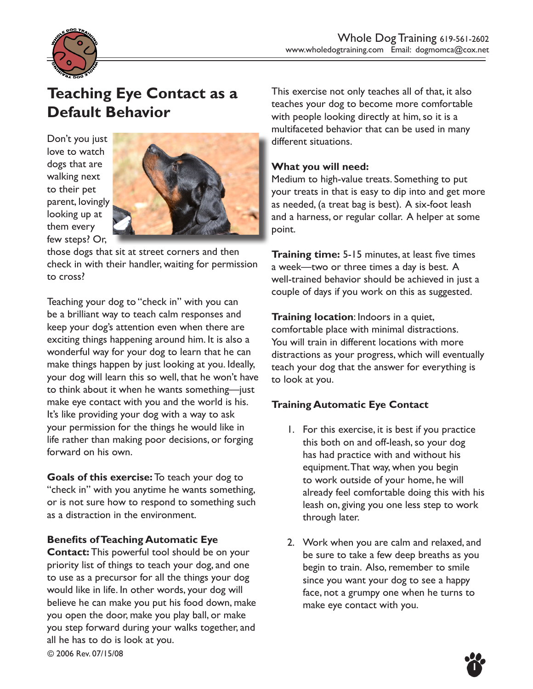

# **Teaching Eye Contact as a Default Behavior**

Don't you just love to watch dogs that are walking next to their pet parent, lovingly looking up at them every few steps? Or,



those dogs that sit at street corners and then check in with their handler, waiting for permission to cross?

Teaching your dog to "check in" with you can be a brilliant way to teach calm responses and keep your dog's attention even when there are exciting things happening around him. It is also a wonderful way for your dog to learn that he can make things happen by just looking at you. Ideally, your dog will learn this so well, that he won't have to think about it when he wants something—just make eye contact with you and the world is his. It's like providing your dog with a way to ask your permission for the things he would like in life rather than making poor decisions, or forging forward on his own.

**Goals of this exercise:** To teach your dog to "check in" with you anytime he wants something, or is not sure how to respond to something such as a distraction in the environment.

#### **Benefits of Teaching Automatic Eye**

**Contact:** This powerful tool should be on your priority list of things to teach your dog, and one to use as a precursor for all the things your dog would like in life. In other words, your dog will believe he can make you put his food down, make you open the door, make you play ball, or make you step forward during your walks together, and all he has to do is look at you.

This exercise not only teaches all of that, it also teaches your dog to become more comfortable with people looking directly at him, so it is a multifaceted behavior that can be used in many different situations.

#### **What you will need:**

Medium to high-value treats. Something to put your treats in that is easy to dip into and get more as needed, (a treat bag is best). A six-foot leash and a harness, or regular collar. A helper at some point.

**Training time:** 5-15 minutes, at least five times a week—two or three times a day is best. A well-trained behavior should be achieved in just a couple of days if you work on this as suggested.

**Training location**: Indoors in a quiet, comfortable place with minimal distractions. You will train in different locations with more distractions as your progress, which will eventually teach your dog that the answer for everything is to look at you.

# **Training Automatic Eye Contact**

- 1. For this exercise, it is best if you practice this both on and off-leash, so your dog has had practice with and without his equipment. That way, when you begin to work outside of your home, he will already feel comfortable doing this with his leash on, giving you one less step to work through later.
- 2. Work when you are calm and relaxed, and be sure to take a few deep breaths as you begin to train. Also, remember to smile since you want your dog to see a happy face, not a grumpy one when he turns to make eye contact with you.

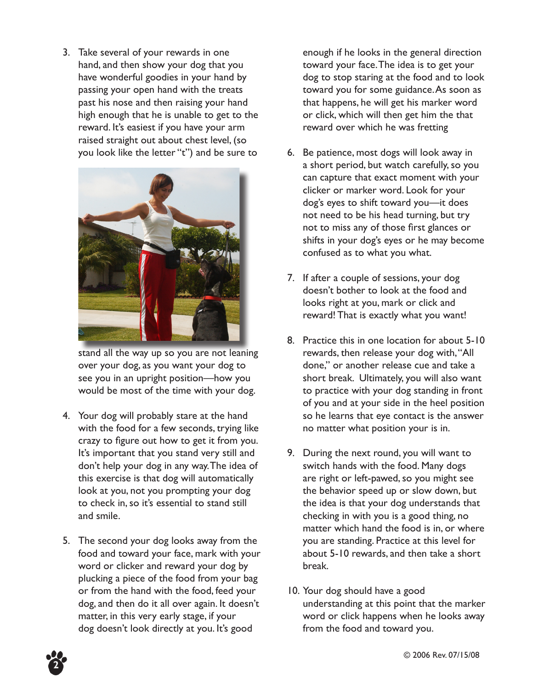3. Take several of your rewards in one hand, and then show your dog that you have wonderful goodies in your hand by passing your open hand with the treats past his nose and then raising your hand high enough that he is unable to get to the reward. It's easiest if you have your arm raised straight out about chest level, (so you look like the letter "t") and be sure to



stand all the way up so you are not leaning over your dog, as you want your dog to see you in an upright position—how you would be most of the time with your dog.

- 4. Your dog will probably stare at the hand with the food for a few seconds, trying like crazy to figure out how to get it from you. It's important that you stand very still and don't help your dog in any way. The idea of this exercise is that dog will automatically look at you, not you prompting your dog to check in, so it's essential to stand still and smile.
- 5. The second your dog looks away from the food and toward your face, mark with your word or clicker and reward your dog by plucking a piece of the food from your bag or from the hand with the food, feed your dog, and then do it all over again. It doesn't matter, in this very early stage, if your dog doesn't look directly at you. It's good

enough if he looks in the general direction toward your face. The idea is to get your dog to stop staring at the food and to look toward you for some guidance. As soon as that happens, he will get his marker word or click, which will then get him the that reward over which he was fretting

- 6. Be patience, most dogs will look away in a short period, but watch carefully, so you can capture that exact moment with your clicker or marker word. Look for your dog's eyes to shift toward you—it does not need to be his head turning, but try not to miss any of those first glances or shifts in your dog's eyes or he may become confused as to what you what.
- 7. If after a couple of sessions, your dog doesn't bother to look at the food and looks right at you, mark or click and reward! That is exactly what you want!
- 8. Practice this in one location for about 5-10 rewards, then release your dog with, "All done," or another release cue and take a short break. Ultimately, you will also want to practice with your dog standing in front of you and at your side in the heel position so he learns that eye contact is the answer no matter what position your is in.
- 9. During the next round, you will want to switch hands with the food. Many dogs are right or left-pawed, so you might see the behavior speed up or slow down, but the idea is that your dog understands that checking in with you is a good thing, no matter which hand the food is in, or where you are standing. Practice at this level for about 5-10 rewards, and then take a short break.
- 10. Your dog should have a good understanding at this point that the marker word or click happens when he looks away from the food and toward you.



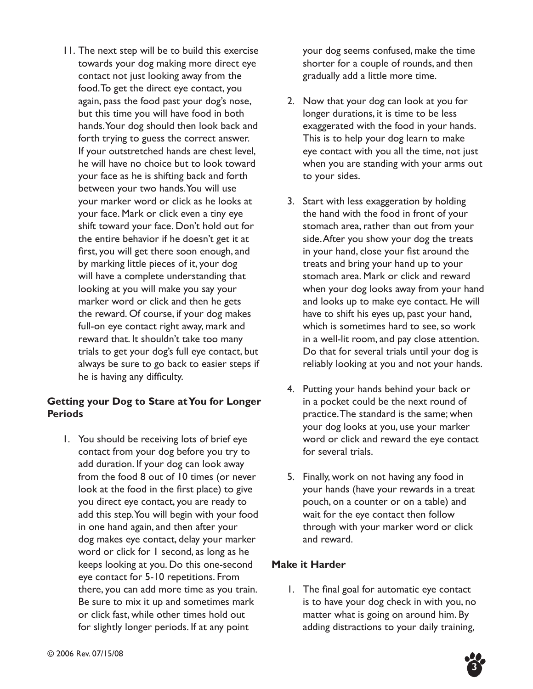11. The next step will be to build this exercise towards your dog making more direct eye contact not just looking away from the food. To get the direct eye contact, you again, pass the food past your dog's nose, but this time you will have food in both hands. Your dog should then look back and forth trying to guess the correct answer. If your outstretched hands are chest level, he will have no choice but to look toward your face as he is shifting back and forth between your two hands. You will use your marker word or click as he looks at your face. Mark or click even a tiny eye shift toward your face. Don't hold out for the entire behavior if he doesn't get it at first, you will get there soon enough, and by marking little pieces of it, your dog will have a complete understanding that looking at you will make you say your marker word or click and then he gets the reward. Of course, if your dog makes full-on eye contact right away, mark and reward that. It shouldn't take too many trials to get your dog's full eye contact, but always be sure to go back to easier steps if he is having any difficulty.

### **Getting your Dog to Stare at You for Longer Periods**

1. You should be receiving lots of brief eye contact from your dog before you try to add duration. If your dog can look away from the food 8 out of 10 times (or never look at the food in the first place) to give you direct eye contact, you are ready to add this step. You will begin with your food in one hand again, and then after your dog makes eye contact, delay your marker word or click for 1 second, as long as he keeps looking at you. Do this one-second eye contact for 5-10 repetitions. From there, you can add more time as you train. Be sure to mix it up and sometimes mark or click fast, while other times hold out for slightly longer periods. If at any point

your dog seems confused, make the time shorter for a couple of rounds, and then gradually add a little more time.

- 2. Now that your dog can look at you for longer durations, it is time to be less exaggerated with the food in your hands. This is to help your dog learn to make eye contact with you all the time, not just when you are standing with your arms out to your sides.
- 3. Start with less exaggeration by holding the hand with the food in front of your stomach area, rather than out from your side. After you show your dog the treats in your hand, close your fist around the treats and bring your hand up to your stomach area. Mark or click and reward when your dog looks away from your hand and looks up to make eye contact. He will have to shift his eyes up, past your hand, which is sometimes hard to see, so work in a well-lit room, and pay close attention. Do that for several trials until your dog is reliably looking at you and not your hands.
- 4. Putting your hands behind your back or in a pocket could be the next round of practice. The standard is the same; when your dog looks at you, use your marker word or click and reward the eye contact for several trials.
- 5. Finally, work on not having any food in your hands (have your rewards in a treat pouch, on a counter or on a table) and wait for the eye contact then follow through with your marker word or click and reward.

#### **Make it Harder**

1. The final goal for automatic eye contact is to have your dog check in with you, no matter what is going on around him. By adding distractions to your daily training,

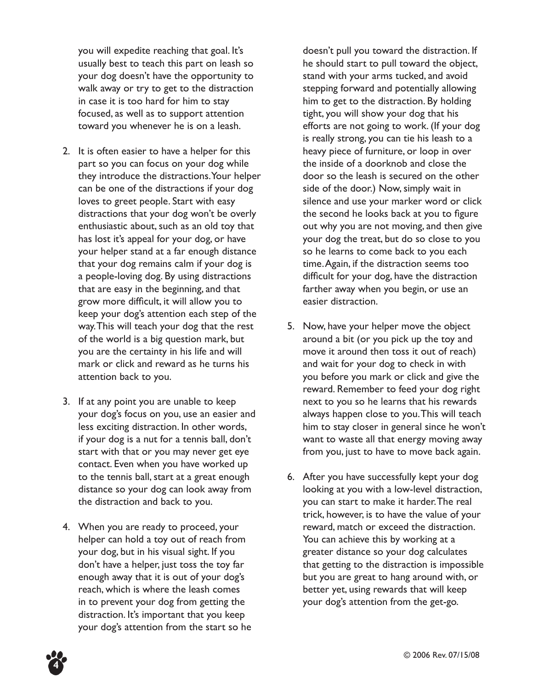you will expedite reaching that goal. It's usually best to teach this part on leash so your dog doesn't have the opportunity to walk away or try to get to the distraction in case it is too hard for him to stay focused, as well as to support attention toward you whenever he is on a leash.

- 2. It is often easier to have a helper for this part so you can focus on your dog while they introduce the distractions. Your helper can be one of the distractions if your dog loves to greet people. Start with easy distractions that your dog won't be overly enthusiastic about, such as an old toy that has lost it's appeal for your dog, or have your helper stand at a far enough distance that your dog remains calm if your dog is a people-loving dog. By using distractions that are easy in the beginning, and that grow more difficult, it will allow you to keep your dog's attention each step of the way. This will teach your dog that the rest of the world is a big question mark, but you are the certainty in his life and will mark or click and reward as he turns his attention back to you.
- 3. If at any point you are unable to keep your dog's focus on you, use an easier and less exciting distraction. In other words, if your dog is a nut for a tennis ball, don't start with that or you may never get eye contact. Even when you have worked up to the tennis ball, start at a great enough distance so your dog can look away from the distraction and back to you.
- 4. When you are ready to proceed, your helper can hold a toy out of reach from your dog, but in his visual sight. If you don't have a helper, just toss the toy far enough away that it is out of your dog's reach, which is where the leash comes in to prevent your dog from getting the distraction. It's important that you keep your dog's attention from the start so he

doesn't pull you toward the distraction. If he should start to pull toward the object, stand with your arms tucked, and avoid stepping forward and potentially allowing him to get to the distraction. By holding tight, you will show your dog that his efforts are not going to work. (If your dog is really strong, you can tie his leash to a heavy piece of furniture, or loop in over the inside of a doorknob and close the door so the leash is secured on the other side of the door.) Now, simply wait in silence and use your marker word or click the second he looks back at you to figure out why you are not moving, and then give your dog the treat, but do so close to you so he learns to come back to you each time. Again, if the distraction seems too difficult for your dog, have the distraction farther away when you begin, or use an easier distraction.

- 5. Now, have your helper move the object around a bit (or you pick up the toy and move it around then toss it out of reach) and wait for your dog to check in with you before you mark or click and give the reward. Remember to feed your dog right next to you so he learns that his rewards always happen close to you. This will teach him to stay closer in general since he won't want to waste all that energy moving away from you, just to have to move back again.
- 6. After you have successfully kept your dog looking at you with a low-level distraction, you can start to make it harder. The real trick, however, is to have the value of your reward, match or exceed the distraction. You can achieve this by working at a greater distance so your dog calculates that getting to the distraction is impossible but you are great to hang around with, or better yet, using rewards that will keep your dog's attention from the get-go.

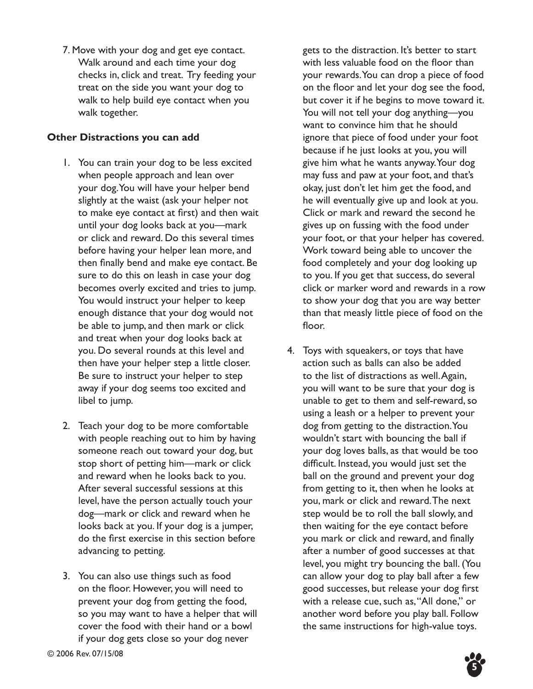7. Move with your dog and get eye contact. Walk around and each time your dog checks in, click and treat. Try feeding your treat on the side you want your dog to walk to help build eye contact when you walk together.

### **Other Distractions you can add**

- 1. You can train your dog to be less excited when people approach and lean over your dog. You will have your helper bend slightly at the waist (ask your helper not to make eye contact at first) and then wait until your dog looks back at you—mark or click and reward. Do this several times before having your helper lean more, and then finally bend and make eye contact. Be sure to do this on leash in case your dog becomes overly excited and tries to jump. You would instruct your helper to keep enough distance that your dog would not be able to jump, and then mark or click and treat when your dog looks back at you. Do several rounds at this level and then have your helper step a little closer. Be sure to instruct your helper to step away if your dog seems too excited and libel to jump.
- 2. Teach your dog to be more comfortable with people reaching out to him by having someone reach out toward your dog, but stop short of petting him—mark or click and reward when he looks back to you. After several successful sessions at this level, have the person actually touch your dog—mark or click and reward when he looks back at you. If your dog is a jumper, do the first exercise in this section before advancing to petting.
- 3. You can also use things such as food on the floor. However, you will need to prevent your dog from getting the food, so you may want to have a helper that will cover the food with their hand or a bowl if your dog gets close so your dog never

gets to the distraction. It's better to start with less valuable food on the floor than your rewards. You can drop a piece of food on the floor and let your dog see the food, but cover it if he begins to move toward it. You will not tell your dog anything—you want to convince him that he should ignore that piece of food under your foot because if he just looks at you, you will give him what he wants anyway. Your dog may fuss and paw at your foot, and that's okay, just don't let him get the food, and he will eventually give up and look at you. Click or mark and reward the second he gives up on fussing with the food under your foot, or that your helper has covered. Work toward being able to uncover the food completely and your dog looking up to you. If you get that success, do several click or marker word and rewards in a row to show your dog that you are way better than that measly little piece of food on the floor.

4. Toys with squeakers, or toys that have action such as balls can also be added to the list of distractions as well. Again, you will want to be sure that your dog is unable to get to them and self-reward, so using a leash or a helper to prevent your dog from getting to the distraction. You wouldn't start with bouncing the ball if your dog loves balls, as that would be too difficult. Instead, you would just set the ball on the ground and prevent your dog from getting to it, then when he looks at you, mark or click and reward. The next step would be to roll the ball slowly, and then waiting for the eye contact before you mark or click and reward, and finally after a number of good successes at that level, you might try bouncing the ball. (You can allow your dog to play ball after a few good successes, but release your dog first with a release cue, such as, "All done," or another word before you play ball. Follow the same instructions for high-value toys.